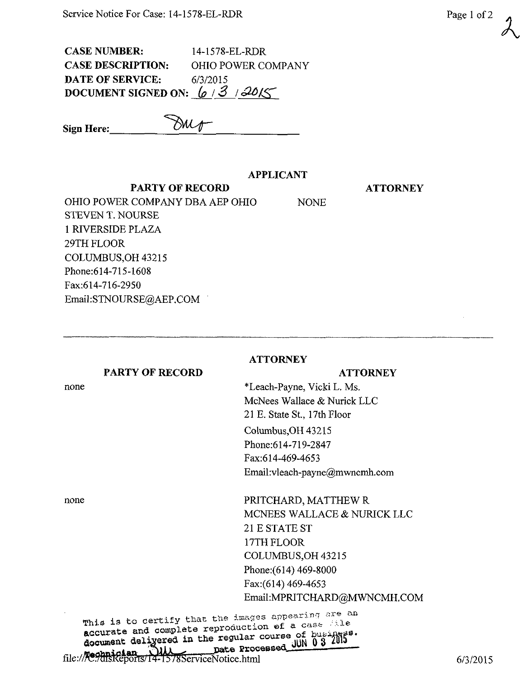CASE NUMBER: 14-1578-EL-RDR CASE DESCRIPTION: OHIO POWER COMPANY DATE OF SERVICE: 6/3/2015 DOCUMENT SIGNED ON:  $\frac{6}{3}$  | 3015

Sign Here:  $\cal{M}$  /1

## APPLICANT

PARTY OF RECORD

OHIO POWER COMPANY DBA AEP OHIO NONE STEVEN T. NOURSE 1 RIVERSIDE PLAZA 29TH FLOOR COLUMBUS,OH 43215 Phone:614-715-1608 Fax:614-716-2950 Email:STNOURSE@AEP.COM

|                        | <b>ATTORNEY</b>                |
|------------------------|--------------------------------|
| <b>PARTY OF RECORD</b> | <b>ATTORNEY</b>                |
| none                   | *Leach-Payne, Vicki L. Ms.     |
|                        | McNees Wallace & Nurick LLC    |
|                        | 21 E. State St., 17th Floor    |
|                        | Columbus, OH 43215             |
|                        | Phone: 614-719-2847            |
|                        | Fax:614-469-4653               |
|                        | Email: vleach-payne@mwncmh.com |
| none                   | PRITCHARD, MATTHEW R           |
|                        | MCNEES WALLACE & NURICK LLC    |
|                        | 21 E STATE ST                  |
|                        | 17TH FLOOR                     |
|                        | COLUMBUS, OH 43215             |
|                        | Phone: (614) 469-8000          |
|                        | Fax: (614) 469-4653            |
|                        | Email:MPRITCHARD@MWNCMH.COM    |

 $\frac{1}{2}$  decurate and compression the regular course of business. The Channiclan Dill pate Processed

Page 1 of 2



## **ATTORNEY**